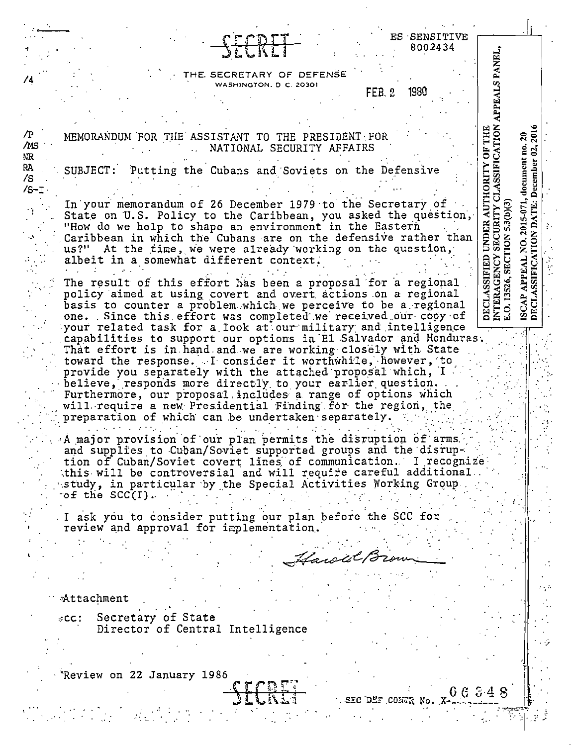| ES SENSITIVE                                                                                                                                                                                                                                                                                                                                                      |                                                                                                             |                                                                                        |
|-------------------------------------------------------------------------------------------------------------------------------------------------------------------------------------------------------------------------------------------------------------------------------------------------------------------------------------------------------------------|-------------------------------------------------------------------------------------------------------------|----------------------------------------------------------------------------------------|
| SECRET<br>8002434                                                                                                                                                                                                                                                                                                                                                 |                                                                                                             |                                                                                        |
| THE SECRETARY OF DEFENSE<br>74<br>WASHINGTON, D.C. 20301                                                                                                                                                                                                                                                                                                          | APPEALS PANEL,                                                                                              |                                                                                        |
| 1930<br>FEB. 2                                                                                                                                                                                                                                                                                                                                                    |                                                                                                             |                                                                                        |
|                                                                                                                                                                                                                                                                                                                                                                   |                                                                                                             |                                                                                        |
| /P<br>MEMORANDUM FOR THE ASSISTANT TO THE PRESIDENT FOR<br>/MS<br>NATIONAL SECURITY AFFAIRS<br>NR.                                                                                                                                                                                                                                                                |                                                                                                             |                                                                                        |
| PA.<br>SUBJECT: Putting the Cubans and Soviets on the Defensive<br>$\sqrt{s}$<br>$/S-T$ .                                                                                                                                                                                                                                                                         |                                                                                                             |                                                                                        |
| In your memorandum of 26 December 1979 to the Secretary of<br>State on U.S. Policy to the Caribbean, you asked the question,<br>"How do we help to shape an environment in the Eastern<br>Caribbean in which the Cubans are on the defensive rather than<br>us?" At the time, we were already working on the question,<br>albeit in a somewhat different context. | DECLASSIFIED UNDER AUTHORITY OF THE<br>INTERAGENCY SECURITY CLASSIFICATION<br>E.O. 13526, SECTION 5.3(b)(3) | ISCAP APPEAL NO. 2015-071, document no. 20<br>DECLASSIFICATION DATE: December 02, 2016 |
| The result of this effort has been a proposal for a regional<br>policy aimed at using covert and overt actions on a regional<br>basis to counter a problem which we perceive to be a regional<br>one. Since this effort was completed we received our copy of                                                                                                     |                                                                                                             |                                                                                        |
| your related task for a look at our military and intelligence<br>capabilities to support our options in El Salvador and Honduras.<br>That effort is in hand and we are working closely with State<br>toward the response. I consider it worthwhile, however, to<br>provide you separately with the attached proposal which, I                                     |                                                                                                             |                                                                                        |
| believe, responds more directly to your earlier question.<br>Furthermore, our proposal includes a range of options which<br>will require a new Presidential Finding for the region, the<br>preparation of which can be undertaken separately.                                                                                                                     |                                                                                                             |                                                                                        |
| A major provision of our plan permits the disruption of arms.<br>and supplies to Cuban/Soviet supported groups and the disrup-<br>tion of Cuban/Soviet covert lines of communication. I recognize<br>this will be controversial and will require careful additional<br>study, in particular by the Special Activities Working Group.<br>$\circ$ f the SCC(I).     |                                                                                                             |                                                                                        |
| I ask you to consider putting our plan before the SCC for<br>review and approval for implementation.                                                                                                                                                                                                                                                              |                                                                                                             |                                                                                        |
|                                                                                                                                                                                                                                                                                                                                                                   |                                                                                                             |                                                                                        |
| Hawal Brown                                                                                                                                                                                                                                                                                                                                                       |                                                                                                             |                                                                                        |
|                                                                                                                                                                                                                                                                                                                                                                   |                                                                                                             |                                                                                        |
| Attachment                                                                                                                                                                                                                                                                                                                                                        |                                                                                                             |                                                                                        |
| Secretary of State<br>$\cdot$ CC :<br>Director of Central Intelligence                                                                                                                                                                                                                                                                                            |                                                                                                             |                                                                                        |
|                                                                                                                                                                                                                                                                                                                                                                   |                                                                                                             |                                                                                        |
| Review on 22 January 1986                                                                                                                                                                                                                                                                                                                                         |                                                                                                             |                                                                                        |
| SECRET<br>0.6348                                                                                                                                                                                                                                                                                                                                                  |                                                                                                             |                                                                                        |
| SEC DEF CONTR No.                                                                                                                                                                                                                                                                                                                                                 |                                                                                                             |                                                                                        |
|                                                                                                                                                                                                                                                                                                                                                                   |                                                                                                             |                                                                                        |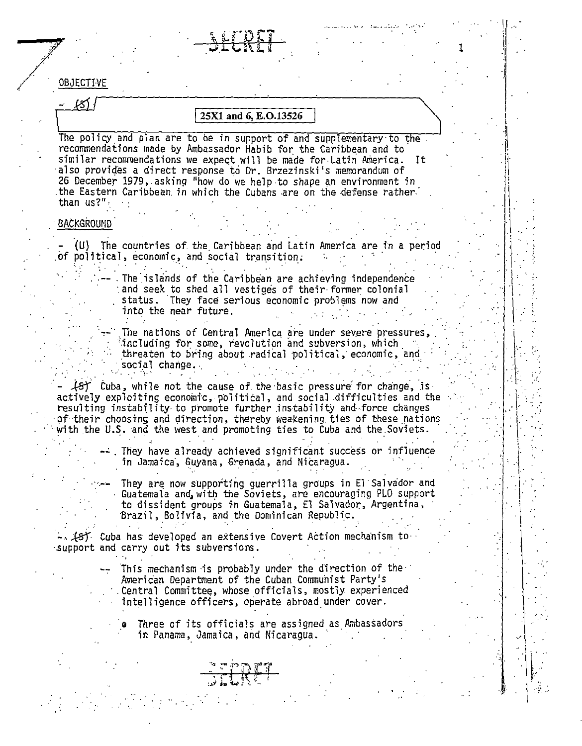|                   |                       | SEERET                                                                                                                                                                                                                                                                                                                                                                                                                             |  |    |  |
|-------------------|-----------------------|------------------------------------------------------------------------------------------------------------------------------------------------------------------------------------------------------------------------------------------------------------------------------------------------------------------------------------------------------------------------------------------------------------------------------------|--|----|--|
|                   |                       |                                                                                                                                                                                                                                                                                                                                                                                                                                    |  |    |  |
|                   |                       |                                                                                                                                                                                                                                                                                                                                                                                                                                    |  |    |  |
| OBJECTIVE         |                       |                                                                                                                                                                                                                                                                                                                                                                                                                                    |  |    |  |
| K)                |                       |                                                                                                                                                                                                                                                                                                                                                                                                                                    |  |    |  |
|                   |                       | 25X1 and 6, E.O.13526                                                                                                                                                                                                                                                                                                                                                                                                              |  |    |  |
| than us?"         |                       | The policy and plan are to be in support of and supplementary to the.<br>recommendations made by Ambassador Habib for the Caribbean and to<br>similar recommendations we expect will be made for Latin America.<br>also provides a direct response to Dr. Brzezinski's memorandum of<br>26 December 1979, asking "how do we help to shape an environment in<br>the Eastern Caribbean in which the Cubans are on the defense rather |  | It |  |
| <b>BACKGROUND</b> |                       |                                                                                                                                                                                                                                                                                                                                                                                                                                    |  |    |  |
|                   |                       | (U) The countries of the Caribbean and Latin America are in a period<br>of political, economic, and social transition.                                                                                                                                                                                                                                                                                                             |  |    |  |
|                   | into the near future. | The islands of the Caribbean are achieving independence<br>and seek to shed all vestiges of their former colonial<br>status. They face serious economic problems now and                                                                                                                                                                                                                                                           |  |    |  |
|                   | social change.        | The nations of Central America are under severe pressures,<br>including for some, revolution and subversion, which<br>threaten to bring about radical political, economic, and                                                                                                                                                                                                                                                     |  |    |  |
|                   |                       | $\{S\}$ Cuba, while not the cause of the basic pressure for change, is<br>actively exploiting economic, political, and social difficulties and the<br>resulting instability to promote further instability and force changes<br>of their choosing and direction, thereby weakening ties of these nations<br>with the U.S. and the west and promoting ties to Cuba and the Soviets.                                                 |  |    |  |
|                   |                       | . They have already achieved significant success or influence<br>in Jamaica, Guyana, Grenada, and Nicaragua.                                                                                                                                                                                                                                                                                                                       |  |    |  |
|                   |                       | They are now supporting guerrilla groups in El Salvador and<br>Guatemala and with the Soviets, are encouraging PLO support<br>to dissident groups in Guatemala, El Salvador, Argentina,<br>Brazil, Bolivia, and the Dominican Republic.                                                                                                                                                                                            |  |    |  |
|                   |                       | $\sim$ (s) Cuba has developed an extensive Covert Action mechanism to<br>support and carry out its subversions.                                                                                                                                                                                                                                                                                                                    |  |    |  |
|                   |                       | This mechanism is probably under the direction of the $\gamma$<br>American Department of the Cuban Communist Party's<br>Central Committee, whose officials, mostly experienced<br>intelligence officers, operate abroad under cover.                                                                                                                                                                                               |  |    |  |
|                   |                       | Three of its officials are assigned as Ambassadors<br>in Panama, Jamaica, and Nicaragua.                                                                                                                                                                                                                                                                                                                                           |  |    |  |
|                   |                       |                                                                                                                                                                                                                                                                                                                                                                                                                                    |  |    |  |
|                   |                       |                                                                                                                                                                                                                                                                                                                                                                                                                                    |  |    |  |

 $\mathbb{Z}^{\mathbb{Z}}$ 

 $\mathcal{L}^{\text{max}}_{\text{max}}$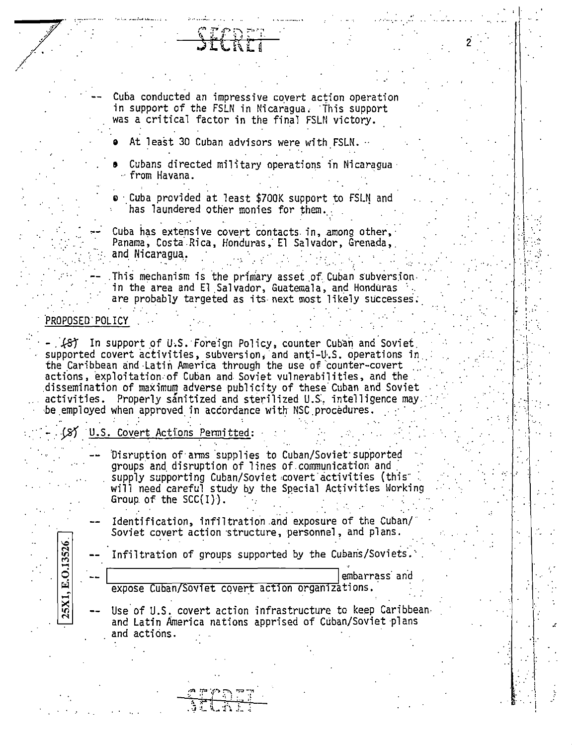Cuba conducted an impressive covert action operation in support of the FSLN in Nicaragua. This support was a critical factor in the final FSLN victory.

- At least 30 Cuban advisors were with FSLN.
- Cubans directed military operations in Nicaragua. - from Havana.
- o Cuba provided at least \$700K support to FSLN and has laundered other monies for them.

Cuba has extensive covert contacts in, among other, Panama, Costa Rica, Honduras, El Salvador, Grenada, and Nicaragua.

This mechanism is the primary asset of Cuban subversion. in the area and El Salvador, Guatemala, and Honduras are probably targeted as its next most likely successes.

## PROPOSED POLICY

25X1, E.O.13526

(8) In support of U.S. Foreign Policy, counter Cuban and Soviet supported covert activities, subversion, and anti-U.S. operations in the Caribbean and Latin America through the use of counter-covert actions, exploitation of Cuban and Soviet vulnerabilities, and the dissemination of maximum adverse publicity of these Cuban and Soviet activities. Properly sanitized and sterilized U.S. intelligence may. be employed when approved in accordance with NSC procedures.

### U.S. Covert Actions Permitted:

- Disruption of arms supplies to Cuban/Soviet supported groups and disruption of lines of communication and supply supporting Cuban/Soviet covert activities (this will need careful study by the Special Activities Working Group of the  $SCC(I)$ .
- Identification, infiltration and exposure of the Cuban/ Soviet covert action structure, personnel, and plans.

Infiltration of groups supported by the Cubans/Soviets.

embarrass and

expose Cuban/Soviet covert action organizations.

Use of U.S. covert action infrastructure to keep Caribbean. and Latin America nations apprised of Cuban/Soviet plans and actions.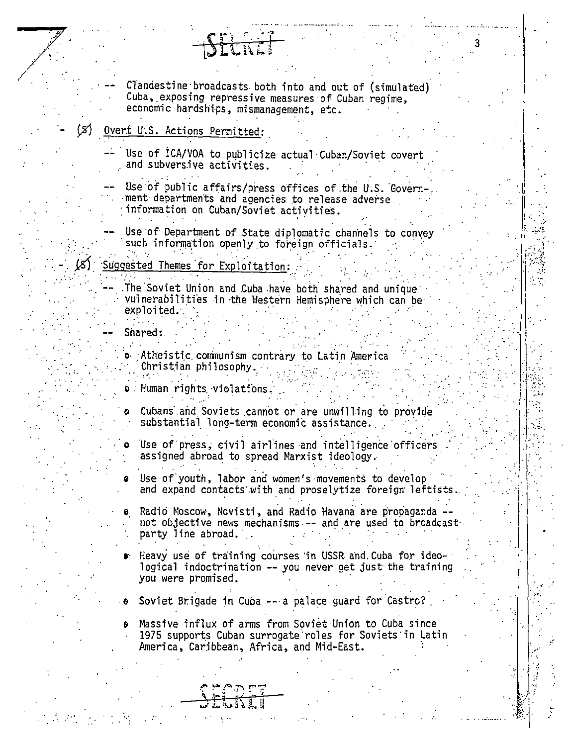Clandestine broadcasts both into and out of (simulated) Cuba, exposing repressive measures of Cuban regime, economic hardships, mismanagement, etc.

#### ٢s١ Overt U.S. Actions Permitted:

Use of ICA/VOA to publicize actual Cuban/Soviet covert and subversive activities.

Use of public affairs/press offices of the U.S. Government departments and agencies to release adverse information on Cuban/Soviet activities.

Use of Department of State diplomatic channels to convey such information openly to foreign officials.

# Suggested Themes for Exploitation:

The Soviet Union and Cuba have both shared and unique vulnerabilities in the Western Hemisphere which can be exploited.

### Shared:

o Atheistic communism contrary to Latin America Christian philosophy.

 $\bullet$  . Human rights violations.

Cubans and Soviets cannot or are unwilling to provide substantial long-term economic assistance.

Use of press, civil airlines and intelligence officers assigned abroad to spread Marxist ideology.

Use of youth, labor and women's movements to develop  $\bullet$ and expand contacts with and proselytize foreign leftist

Radio Moscow, Novisti, and Radio Havana are propaganda. not objective news mechanisms -- and are used to broadcast. party line abroad.

Heavy use of training courses in USSR and Cuba for ideological indoctrination -- you never get just the training you were promised.

Soviet Brigade in Cuba -- a palace guard for Castro?

Massive influx of arms from Soviet Union to Cuba since θ 1975 supports Cuban surrogate roles for Soviets in Latin America, Caribbean, Africa, and Mid-East.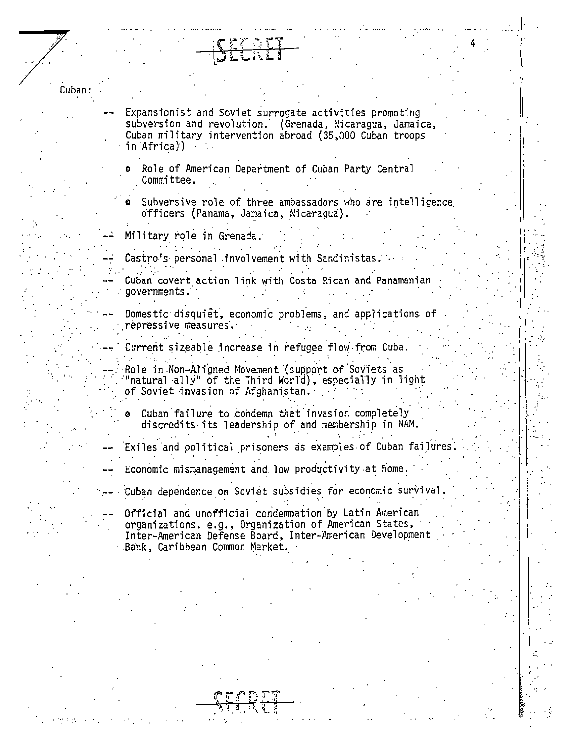Cuban: Expansionist and Soviet surrogate activities promoting subversion and revolution. (Grenada, Nicaragua, Jamaica, Cuban military intervention abroad (35,000 Cuban troops in Africa)) Role of American Department of Cuban Party Central Committee. Subversive role of three ambassadors who are intelligence officers (Panama, Jamaica, Nicaraqua). Military role in Grenada. Castro's personal involvement with Sandinistas Cuban covert action link with Costa Rican and Panamanian  $gover$ ments. Domestic disquiet, economic problems, and applications of repressive measures. Current sizeable increase in refugee flow from Cuba Role in Non-Aligned Movement (support of Soviets as "natural ally" of the Third World), especially in light of Soviet invasion of Afghanistan. Cuban failure to condemn that invasion completely discredits its leadership of and membership in NAM. Exiles and political prisoners as examples of Cuban failures. Economic mismanagement and low productivity at home. Cuban dependence on Soviet subsidies for economic survival Official and unofficial condemnation by Latin American organizations. e.g., Organization of American States, Inter-American Defense Board, Inter-American Development Bank, Caribbean Common Market.